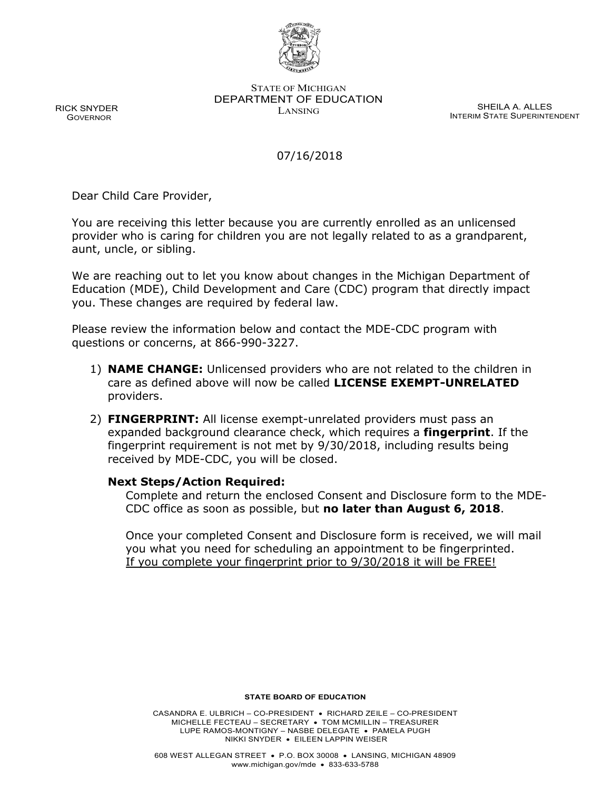

STATE OF MICHIGAN DEPARTMENT OF EDUCATION LANSING SHEILA A. ALLES

INTERIM STATE SUPERINTENDENT

## 07/16/2018

Dear Child Care Provider,

You are receiving this letter because you are currently enrolled as an unlicensed provider who is caring for children you are not legally related to as a grandparent, aunt, uncle, or sibling.

We are reaching out to let you know about changes in the Michigan Department of Education (MDE), Child Development and Care (CDC) program that directly impact you. These changes are required by federal law.

Please review the information below and contact the MDE-CDC program with questions or concerns, at 866-990-3227.

- 1) **NAME CHANGE:** Unlicensed providers who are not related to the children in care as defined above will now be called **LICENSE EXEMPT-UNRELATED** providers.
- 2) **FINGERPRINT:** All license exempt-unrelated providers must pass an expanded background clearance check, which requires a **fingerprint**. If the fingerprint requirement is not met by 9/30/2018, including results being received by MDE-CDC, you will be closed.

## **Next Steps/Action Required:**

Complete and return the enclosed Consent and Disclosure form to the MDE-CDC office as soon as possible, but **no later than August 6, 2018**.

Once your completed Consent and Disclosure form is received, we will mail you what you need for scheduling an appointment to be fingerprinted. If you complete your fingerprint prior to 9/30/2018 it will be FREE!

**STATE BOARD OF EDUCATION**

CASANDRA E. ULBRICH – CO-PRESIDENT • RICHARD ZEILE – CO-PRESIDENT MICHELLE FECTEAU – SECRETARY • TOM MCMILLIN – TREASURER LUPE RAMOS-MONTIGNY – NASBE DELEGATE • PAMELA PUGH NIKKI SNYDER • EILEEN LAPPIN WEISER

RICK SNYDER GOVERNOR